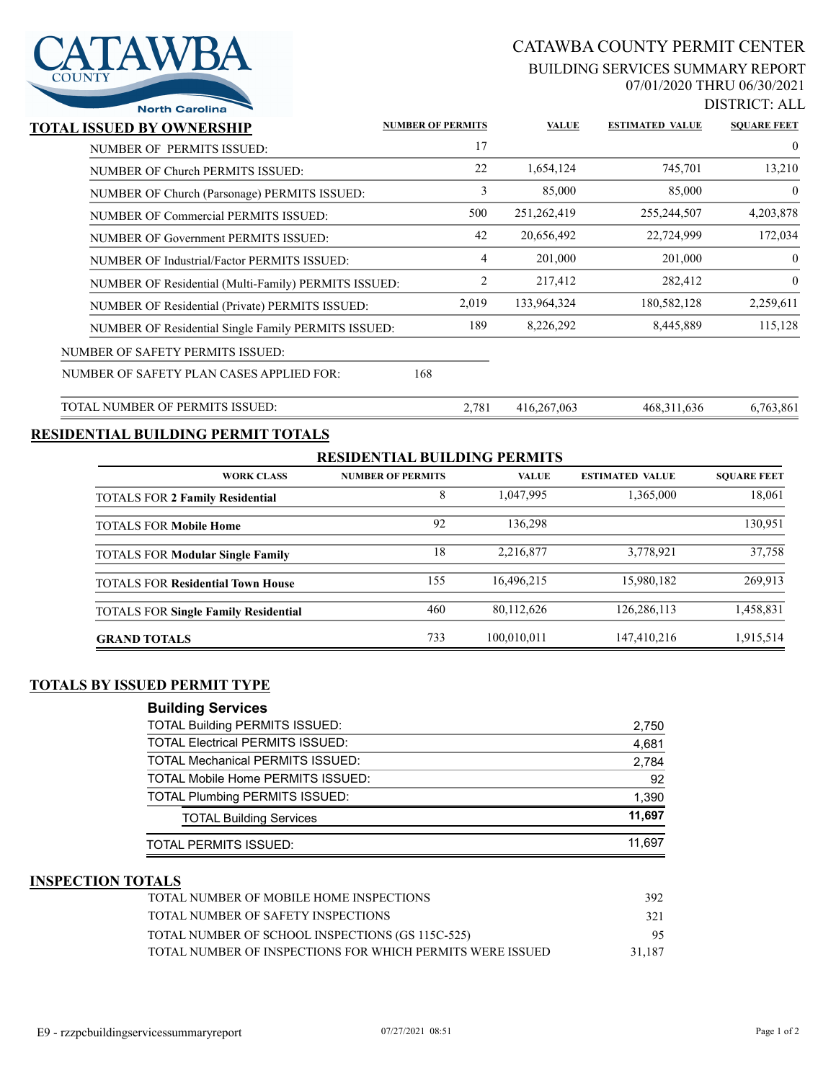## CATAWBA COUNTY PERMIT CENTER

#### BUILDING SERVICES SUMMARY REPORT 07/01/2020 THRU 06/30/2021

DISTRICT: ALL

| <b>TAWBA</b>          |  |
|-----------------------|--|
| <b>COUNTY</b>         |  |
|                       |  |
| <b>North Carolina</b> |  |

| <b>NUMBER OF PERMITS</b>                                   | <b>VALUE</b>  | <b>ESTIMATED VALUE</b> | <b>SOUARE FEET</b> |
|------------------------------------------------------------|---------------|------------------------|--------------------|
| 17                                                         |               |                        | $\mathbf{0}$       |
| 22                                                         | 1,654,124     | 745,701                | 13,210             |
| 3<br>NUMBER OF Church (Parsonage) PERMITS ISSUED:          | 85,000        | 85,000                 | $\mathbf{0}$       |
| 500                                                        | 251, 262, 419 | 255, 244, 507          | 4, 203, 878        |
| 42                                                         | 20,656,492    | 22,724,999             | 172,034            |
| 4                                                          | 201,000       | 201,000                | $\mathbf{0}$       |
| 2<br>NUMBER OF Residential (Multi-Family) PERMITS ISSUED:  | 217,412       | 282,412                | $\mathbf{0}$       |
| 2,019<br>NUMBER OF Residential (Private) PERMITS ISSUED:   | 133,964,324   | 180,582,128            | 2,259,611          |
| 189<br>NUMBER OF Residential Single Family PERMITS ISSUED: | 8,226,292     | 8,445,889              | 115,128            |
|                                                            |               |                        |                    |
| 168                                                        |               |                        |                    |
|                                                            |               |                        |                    |

# **RESIDENTIAL BUILDING PERMIT TOTALS**

#### **RESIDENTIAL BUILDING PERMITS**

TOTAL NUMBER OF PERMITS ISSUED: 2,781 416,267,063 468,311,636 6,763,861

| <b>WORK CLASS</b>                           | <b>NUMBER OF PERMITS</b> | <b>VALUE</b> | <b>ESTIMATED VALUE</b> | <b>SOUARE FEET</b> |
|---------------------------------------------|--------------------------|--------------|------------------------|--------------------|
| <b>TOTALS FOR 2 Family Residential</b>      | 8                        | 1,047,995    | 1,365,000              | 18.061             |
| <b>TOTALS FOR Mobile Home</b>               | 92                       | 136,298      |                        | 130,951            |
| <b>TOTALS FOR Modular Single Family</b>     | 18                       | 2,216,877    | 3,778,921              | 37,758             |
| <b>TOTALS FOR Residential Town House</b>    | 155                      | 16,496,215   | 15,980,182             | 269,913            |
| <b>TOTALS FOR Single Family Residential</b> | 460                      | 80,112,626   | 126,286,113            | 1,458,831          |
| <b>GRAND TOTALS</b>                         | 733                      | 100.010.011  | 147,410,216            | 1,915,514          |

#### **TOTALS BY ISSUED PERMIT TYPE**

### **Building Services**

| <b>TOTAL Building PERMITS ISSUED:</b>    | 2,750  |
|------------------------------------------|--------|
| <b>TOTAL Electrical PERMITS ISSUED:</b>  | 4,681  |
| <b>TOTAL Mechanical PERMITS ISSUED:</b>  | 2.784  |
| <b>TOTAL Mobile Home PERMITS ISSUED:</b> | 92     |
| <b>TOTAL Plumbing PERMITS ISSUED:</b>    | 1,390  |
| <b>TOTAL Building Services</b>           | 11.697 |
| TOTAL PERMITS ISSUED:                    | 11.697 |

### **INSPECTION TOTALS**

| TOTAL NUMBER OF MOBILE HOME INSPECTIONS                    | 392    |
|------------------------------------------------------------|--------|
| TOTAL NUMBER OF SAFETY INSPECTIONS                         | 321    |
| TOTAL NUMBER OF SCHOOL INSPECTIONS (GS 115C-525)           | 95     |
| TOTAL NUMBER OF INSPECTIONS FOR WHICH PERMITS WERE ISSUED. | 31,187 |